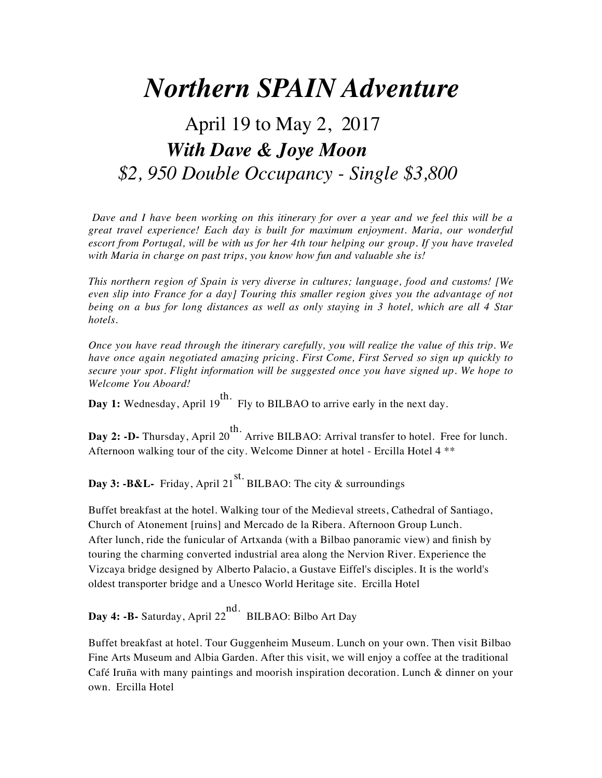# *Northern SPAIN Adventure*

## April 19 to May 2, 2017 *With Dave & Joye Moon \$2, 950 Double Occupancy - Single \$3,800*

*Dave and I have been working on this itinerary for over a year and we feel this will be a great travel experience! Each day is built for maximum enjoyment. Maria, our wonderful escort from Portugal, will be with us for her 4th tour helping our group. If you have traveled with Maria in charge on past trips, you know how fun and valuable she is!* 

*This northern region of Spain is very diverse in cultures; language, food and customs! [We even slip into France for a day] Touring this smaller region gives you the advantage of not being on a bus for long distances as well as only staying in 3 hotel, which are all 4 Star hotels.* 

*Once you have read through the itinerary carefully, you will realize the value of this trip. We have once again negotiated amazing pricing. First Come, First Served so sign up quickly to secure your spot. Flight information will be suggested once you have signed up. We hope to Welcome You Aboard!*

**Day 1:** Wednesday, April 19 th. Fly to BILBAO to arrive early in the next day.

**Day 2: -D-** Thursday, April 20 th. Arrive BILBAO: Arrival transfer to hotel. Free for lunch. Afternoon walking tour of the city. Welcome Dinner at hotel - Ercilla Hotel 4 \*\*

**Day 3: -B&L-** Friday, April 21 st. BILBAO: The city & surroundings

Buffet breakfast at the hotel. Walking tour of the Medieval streets, Cathedral of Santiago, Church of Atonement [ruins] and Mercado de la Ribera. Afternoon Group Lunch. After lunch, ride the funicular of Artxanda (with a Bilbao panoramic view) and finish by touring the charming converted industrial area along the Nervion River. Experience the Vizcaya bridge designed by Alberto Palacio, a Gustave Eiffel's disciples. It is the world's oldest transporter bridge and a Unesco World Heritage site. Ercilla Hotel

**Day 4: -B-** Saturday, April 22 nd. BILBAO: Bilbo Art Day

Buffet breakfast at hotel. Tour Guggenheim Museum. Lunch on your own. Then visit Bilbao Fine Arts Museum and Albia Garden. After this visit, we will enjoy a coffee at the traditional Café Iruña with many paintings and moorish inspiration decoration. Lunch & dinner on your own. Ercilla Hotel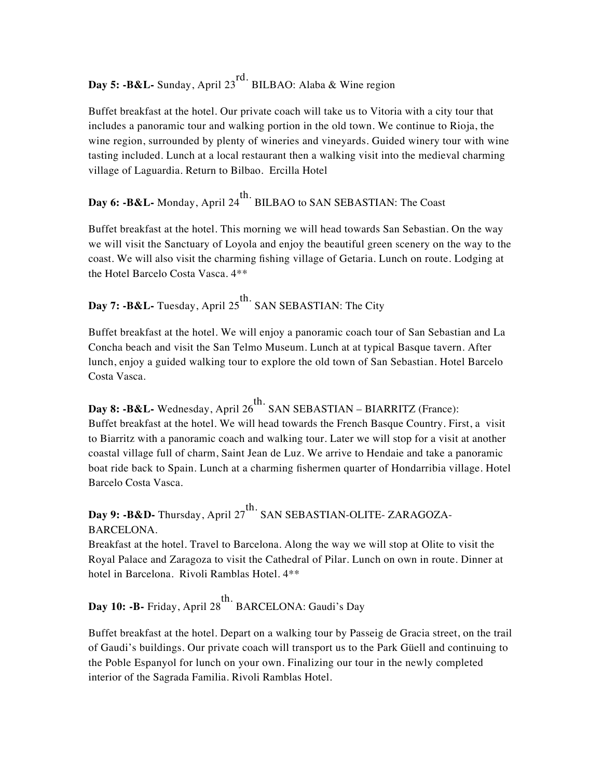**Day 5: -B&L-** Sunday, April 23 rd. BILBAO: Alaba & Wine region

Buffet breakfast at the hotel. Our private coach will take us to Vitoria with a city tour that includes a panoramic tour and walking portion in the old town. We continue to Rioja, the wine region, surrounded by plenty of wineries and vineyards. Guided winery tour with wine tasting included. Lunch at a local restaurant then a walking visit into the medieval charming village of Laguardia. Return to Bilbao. Ercilla Hotel

#### **Day 6: -B&L-** Monday, April 24 th. BILBAO to SAN SEBASTIAN: The Coast

Buffet breakfast at the hotel. This morning we will head towards San Sebastian. On the way we will visit the Sanctuary of Loyola and enjoy the beautiful green scenery on the way to the coast. We will also visit the charming fishing village of Getaria. Lunch on route. Lodging at the Hotel Barcelo Costa Vasca. 4\*\*

#### **Day 7: -B&L-** Tuesday, April 25 th. SAN SEBASTIAN: The City

Buffet breakfast at the hotel. We will enjoy a panoramic coach tour of San Sebastian and La Concha beach and visit the San Telmo Museum. Lunch at at typical Basque tavern. After lunch, enjoy a guided walking tour to explore the old town of San Sebastian. Hotel Barcelo Costa Vasca.

**Day 8: -B&L-** Wednesday, April 26 th. SAN SEBASTIAN – BIARRITZ (France): Buffet breakfast at the hotel. We will head towards the French Basque Country. First, a visit to Biarritz with a panoramic coach and walking tour. Later we will stop for a visit at another coastal village full of charm, Saint Jean de Luz. We arrive to Hendaie and take a panoramic boat ride back to Spain. Lunch at a charming fishermen quarter of Hondarribia village. Hotel Barcelo Costa Vasca.

#### **Day 9: -B&D-** Thursday, April 27 th. SAN SEBASTIAN-OLITE- ZARAGOZA-BARCELONA.

Breakfast at the hotel. Travel to Barcelona. Along the way we will stop at Olite to visit the Royal Palace and Zaragoza to visit the Cathedral of Pilar. Lunch on own in route. Dinner at hotel in Barcelona. Rivoli Ramblas Hotel. 4\*\*

**Day 10: -B-** Friday, April 28 th. BARCELONA: Gaudi's Day

Buffet breakfast at the hotel. Depart on a walking tour by Passeig de Gracia street, on the trail of Gaudi's buildings. Our private coach will transport us to the Park Güell and continuing to the Poble Espanyol for lunch on your own. Finalizing our tour in the newly completed interior of the Sagrada Familia. Rivoli Ramblas Hotel.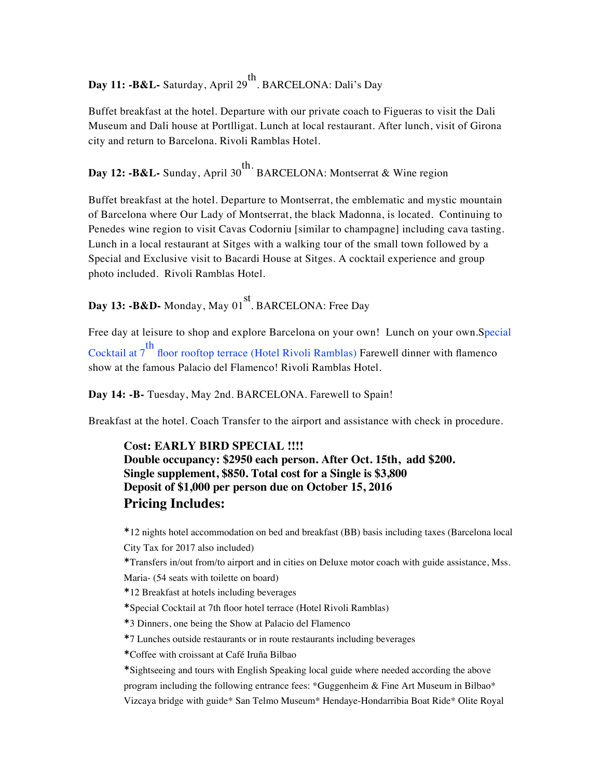**Day 11: -B&L-** Saturday, April 29 th . BARCELONA: Dali's Day

Buffet breakfast at the hotel. Departure with our private coach to Figueras to visit the Dali Museum and Dali house at Portlligat. Lunch at local restaurant. After lunch, visit of Girona city and return to Barcelona. Rivoli Ramblas Hotel.

**Day 12: -B&L-** Sunday, April 30 th. BARCELONA: Montserrat & Wine region

Buffet breakfast at the hotel. Departure to Montserrat, the emblematic and mystic mountain of Barcelona where Our Lady of Montserrat, the black Madonna, is located. Continuing to Penedes wine region to visit Cavas Codorniu [similar to champagne] including cava tasting. Lunch in a local restaurant at Sitges with a walking tour of the small town followed by a Special and Exclusive visit to Bacardi House at Sitges. A cocktail experience and group photo included. Rivoli Ramblas Hotel.

**Day 13: -B&D-** Monday, May 01 st . BARCELONA: Free Day

Free day at leisure to shop and explore Barcelona on your own! Lunch on your own.Special Cocktail at 7 th floor rooftop terrace (Hotel Rivoli Ramblas) Farewell dinner with flamenco show at the famous Palacio del Flamenco! Rivoli Ramblas Hotel.

**Day 14: -B-** Tuesday, May 2nd. BARCELONA. Farewell to Spain!

Breakfast at the hotel. Coach Transfer to the airport and assistance with check in procedure.

## **Cost: EARLY BIRD SPECIAL !!!! Double occupancy: \$2950 each person. After Oct. 15th, add \$200. Single supplement, \$850. Total cost for a Single is \$3,800 Deposit of \$1,000 per person due on October 15, 2016 Pricing Includes:**

\*12 nights hotel accommodation on bed and breakfast (BB) basis including taxes (Barcelona local City Tax for 2017 also included)

\*Transfers in/out from/to airport and in cities on Deluxe motor coach with guide assistance, Mss.

Maria- (54 seats with toilette on board)

\*12 Breakfast at hotels including beverages

\*Special Cocktail at 7th floor hotel terrace (Hotel Rivoli Ramblas)

\*3 Dinners, one being the Show at Palacio del Flamenco

\*7 Lunches outside restaurants or in route restaurants including beverages

\*Coffee with croissant at Café Iruña Bilbao

\*Sightseeing and tours with English Speaking local guide where needed according the above program including the following entrance fees: \*Guggenheim & Fine Art Museum in Bilbao\* Vizcaya bridge with guide\* San Telmo Museum\* Hendaye-Hondarribia Boat Ride\* Olite Royal